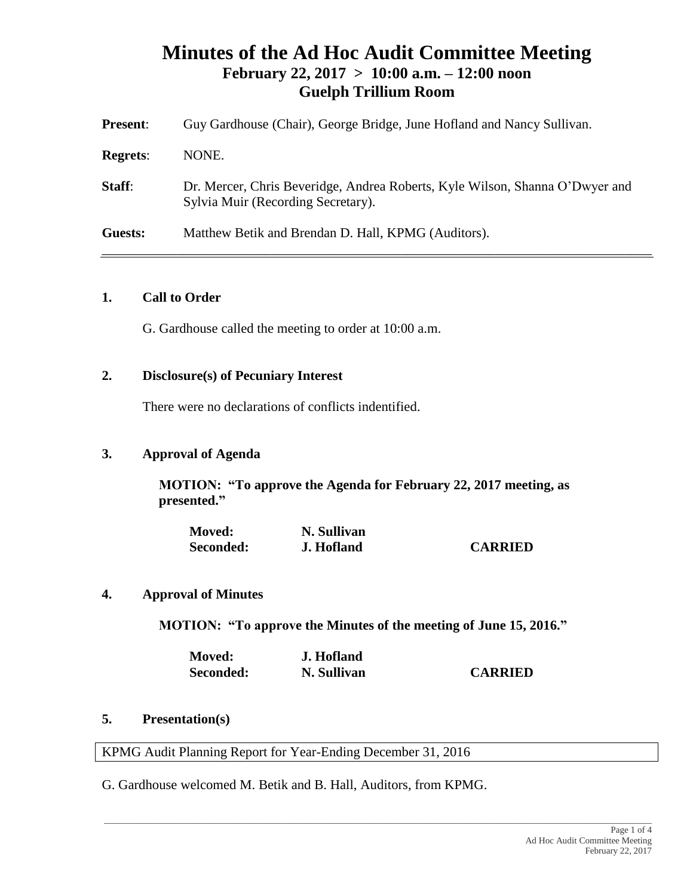# **Minutes of the Ad Hoc Audit Committee Meeting February 22, 2017 > 10:00 a.m. – 12:00 noon Guelph Trillium Room**

| <b>Present:</b> | Guy Gardhouse (Chair), George Bridge, June Hofland and Nancy Sullivan.                                             |
|-----------------|--------------------------------------------------------------------------------------------------------------------|
| <b>Regrets:</b> | NONE.                                                                                                              |
| Staff:          | Dr. Mercer, Chris Beveridge, Andrea Roberts, Kyle Wilson, Shanna O'Dwyer and<br>Sylvia Muir (Recording Secretary). |
| Guests:         | Matthew Betik and Brendan D. Hall, KPMG (Auditors).                                                                |

#### **1. Call to Order**

G. Gardhouse called the meeting to order at 10:00 a.m.

## **2. Disclosure(s) of Pecuniary Interest**

There were no declarations of conflicts indentified.

#### **3. Approval of Agenda**

**MOTION: "To approve the Agenda for February 22, 2017 meeting, as presented."**

| <b>Moved:</b> | N. Sullivan |                |
|---------------|-------------|----------------|
| Seconded:     | J. Hofland  | <b>CARRIED</b> |

## **4. Approval of Minutes**

**MOTION: "To approve the Minutes of the meeting of June 15, 2016."**

| <b>Moved:</b> | J. Hofland  |                |
|---------------|-------------|----------------|
| Seconded:     | N. Sullivan | <b>CARRIED</b> |

 $\_$  , and the set of the set of the set of the set of the set of the set of the set of the set of the set of the set of the set of the set of the set of the set of the set of the set of the set of the set of the set of th

#### **5. Presentation(s)**

KPMG Audit Planning Report for Year-Ending December 31, 2016

G. Gardhouse welcomed M. Betik and B. Hall, Auditors, from KPMG.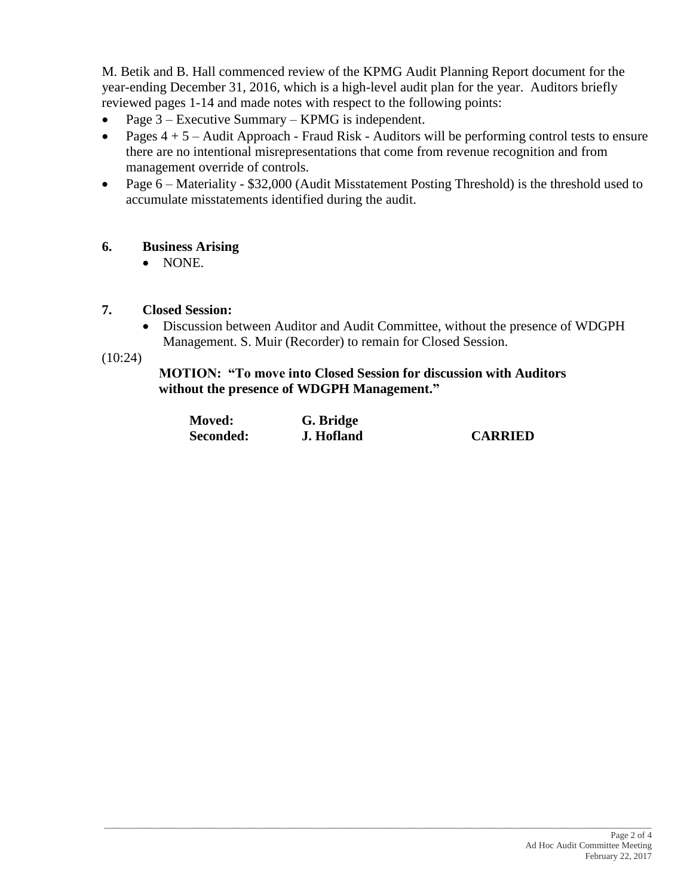M. Betik and B. Hall commenced review of the KPMG Audit Planning Report document for the year-ending December 31, 2016, which is a high-level audit plan for the year. Auditors briefly reviewed pages 1-14 and made notes with respect to the following points:

- Page  $3$  Executive Summary KPMG is independent.
- Pages  $4 + 5$  Audit Approach Fraud Risk Auditors will be performing control tests to ensure there are no intentional misrepresentations that come from revenue recognition and from management override of controls.
- Page 6 Materiality \$32,000 (Audit Misstatement Posting Threshold) is the threshold used to accumulate misstatements identified during the audit.

## **6. Business Arising**

• NONE.

### **7. Closed Session:**

 Discussion between Auditor and Audit Committee, without the presence of WDGPH Management. S. Muir (Recorder) to remain for Closed Session.

(10:24)

**MOTION: "To move into Closed Session for discussion with Auditors without the presence of WDGPH Management."**

| <b>Moved:</b> | G. Bridge  |                |
|---------------|------------|----------------|
| Seconded:     | J. Hofland | <b>CARRIED</b> |

\_\_\_\_\_\_\_\_\_\_\_\_\_\_\_\_\_\_\_\_\_\_\_\_\_\_\_\_\_\_\_\_\_\_\_\_\_\_\_\_\_\_\_\_\_\_\_\_\_\_\_\_\_\_\_\_\_\_\_\_\_\_\_\_\_\_\_\_\_\_\_\_\_\_\_\_\_\_\_\_\_\_\_\_\_\_\_\_\_\_\_\_\_\_\_\_\_\_\_\_\_\_\_\_\_\_\_\_\_\_\_\_\_\_\_\_\_\_\_\_\_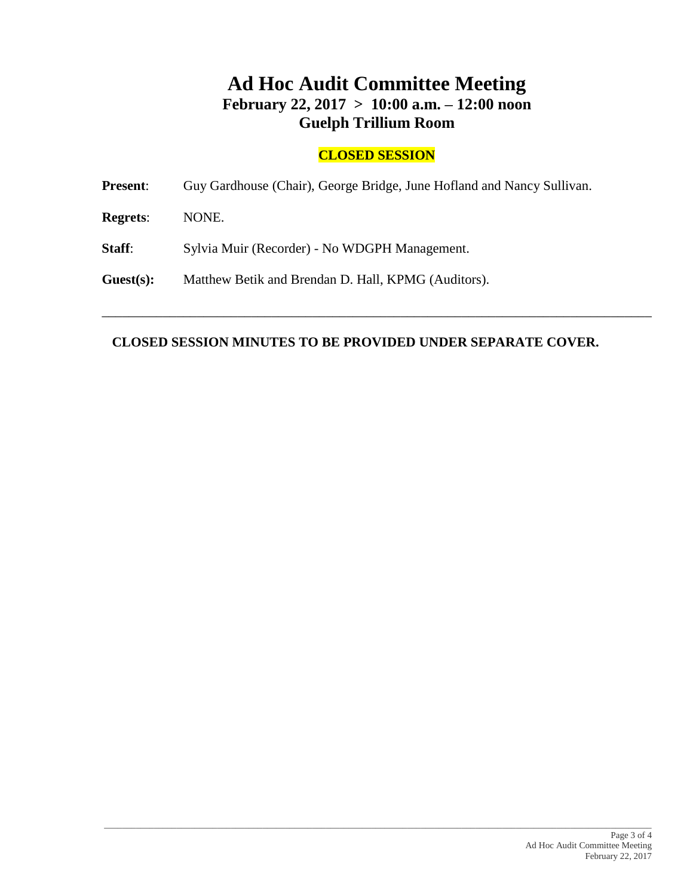# **Ad Hoc Audit Committee Meeting February 22, 2017 > 10:00 a.m. – 12:00 noon Guelph Trillium Room**

# **CLOSED SESSION**

**Present**: Guy Gardhouse (Chair), George Bridge, June Hofland and Nancy Sullivan.

**Regrets**: NONE.

**Staff:** Sylvia Muir (Recorder) - No WDGPH Management.

**Guest(s):** Matthew Betik and Brendan D. Hall, KPMG (Auditors).

#### **CLOSED SESSION MINUTES TO BE PROVIDED UNDER SEPARATE COVER.**

\_\_\_\_\_\_\_\_\_\_\_\_\_\_\_\_\_\_\_\_\_\_\_\_\_\_\_\_\_\_\_\_\_\_\_\_\_\_\_\_\_\_\_\_\_\_\_\_\_\_\_\_\_\_\_\_\_\_\_\_\_\_\_\_\_\_\_\_\_\_\_\_\_\_\_\_\_\_\_\_\_

\_\_\_\_\_\_\_\_\_\_\_\_\_\_\_\_\_\_\_\_\_\_\_\_\_\_\_\_\_\_\_\_\_\_\_\_\_\_\_\_\_\_\_\_\_\_\_\_\_\_\_\_\_\_\_\_\_\_\_\_\_\_\_\_\_\_\_\_\_\_\_\_\_\_\_\_\_\_\_\_\_\_\_\_\_\_\_\_\_\_\_\_\_\_\_\_\_\_\_\_\_\_\_\_\_\_\_\_\_\_\_\_\_\_\_\_\_\_\_\_\_